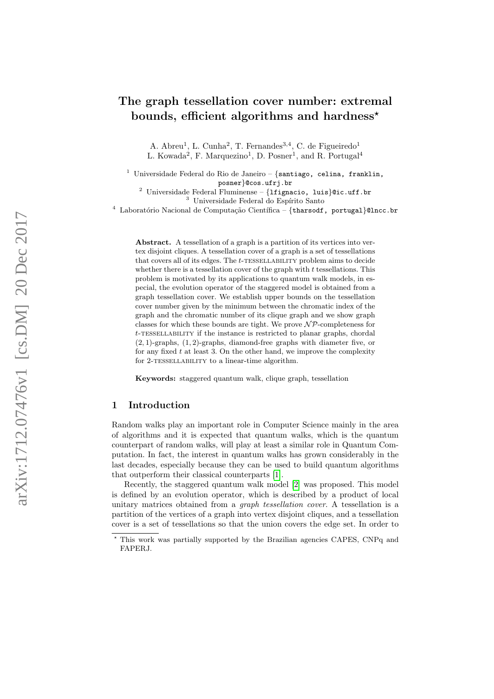# The graph tessellation cover number: extremal bounds, efficient algorithms and hardness\*

A. Abreu<sup>1</sup>, L. Cunha<sup>2</sup>, T. Fernandes<sup>3,4</sup>, C. de Figueiredo<sup>1</sup> L. Kowada<sup>2</sup>, F. Marquezino<sup>1</sup>, D. Posner<sup>1</sup>, and R. Portugal<sup>4</sup>

<sup>1</sup> Universidade Federal do Rio de Janeiro -  $\{$ santiago, celina, franklin,

posner }@cos.ufrj.br

 $^2$  Universidade Federal Fluminense -  $\{$ lfignacio, luis}@ic.uff.br <sup>3</sup> Universidade Federal do Espírito Santo

 $^4$  Laboratório Nacional de Computação Científica – {tharsodf, portugal}@lncc.br

Abstract. A tessellation of a graph is a partition of its vertices into vertex disjoint cliques. A tessellation cover of a graph is a set of tessellations that covers all of its edges. The *t*-TESSELLABILITY problem aims to decide whether there is a tessellation cover of the graph with  $t$  tessellations. This problem is motivated by its applications to quantum walk models, in especial, the evolution operator of the staggered model is obtained from a graph tessellation cover. We establish upper bounds on the tessellation cover number given by the minimum between the chromatic index of the graph and the chromatic number of its clique graph and we show graph classes for which these bounds are tight. We prove  $N\mathcal{P}$ -completeness for  $t$ -TESSELLABILITY if the instance is restricted to planar graphs, chordal (2 , 1)-graphs, (1 , 2)-graphs, diamond-free graphs with diameter five, or for any fixed  $t$  at least 3. On the other hand, we improve the complexity for 2-TESSELLABILITY to a linear-time algorithm.

Keywords: staggered quantum walk, clique graph, tessellation

# 1 Introduction

Random walks play an important role in Computer Science mainly in the area of algorithms and it is expected that quantum walks, which is the quantum counterpart of random walks, will play at least a similar role in Quantum Computation. In fact, the interest in quantum walks has grown considerably in the last decades, especially because they can be used to build quantum algorithms that outperform their classical counterparts [\[1\]](#page-11-0).

Recently, the staggered quantum walk model [\[2\]](#page-11-1) was proposed. This model is defined by an evolution operator, which is described by a product of local unitary matrices obtained from a graph tessellation cover. A tessellation is a partition of the vertices of a graph into vertex disjoint cliques, and a tessellation cover is a set of tessellations so that the union covers the edge set. In order to

<sup>?</sup> This work was partially supported by the Brazilian agencies CAPES, CNPq and FAPERJ.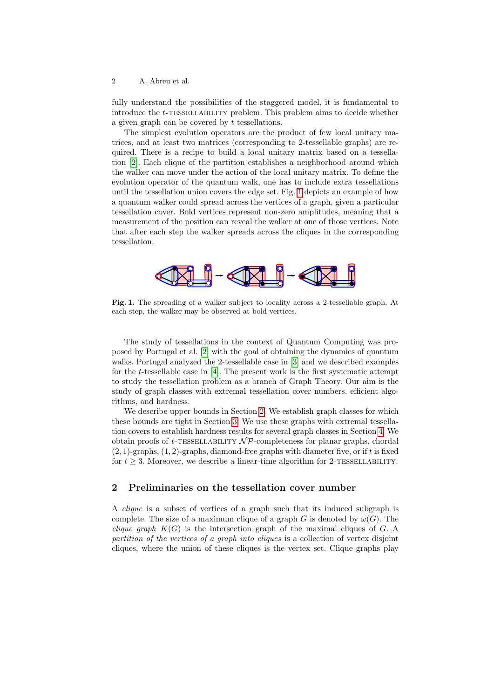fully understand the possibilities of the staggered model, it is fundamental to introduce the t-TESSELLABILITY problem. This problem aims to decide whether a given graph can be covered by t tessellations.

The simplest evolution operators are the product of few local unitary matrices, and at least two matrices (corresponding to 2-tessellable graphs) are required. There is a recipe to build a local unitary matrix based on a tessellation [\[2\]](#page-11-1). Each clique of the partition establishes a neighborhood around which the walker can move under the action of the local unitary matrix. To define the evolution operator of the quantum walk, one has to include extra tessellations until the tessellation union covers the edge set. Fig. [1](#page-1-0) depicts an example of how a quantum walker could spread across the vertices of a graph, given a particular tessellation cover. Bold vertices represent non-zero amplitudes, meaning that a measurement of the position can reveal the walker at one of those vertices. Note that after each step the walker spreads across the cliques in the corresponding tessellation.



<span id="page-1-0"></span>Fig. 1. The spreading of a walker subject to locality across a 2-tessellable graph. At each step, the walker may be observed at bold vertices.

The study of tessellations in the context of Quantum Computing was proposed by Portugal et al. [\[2\]](#page-11-1) with the goal of obtaining the dynamics of quantum walks. Portugal analyzed the 2-tessellable case in [\[3\]](#page-11-2) and we described examples for the t-tessellable case in [\[4\]](#page-11-3). The present work is the first systematic attempt to study the tessellation problem as a branch of Graph Theory. Our aim is the study of graph classes with extremal tessellation cover numbers, efficient algorithms, and hardness.

We describe upper bounds in Section [2.](#page-1-1) We establish graph classes for which these bounds are tight in Section [3.](#page-3-0) We use these graphs with extremal tessellation covers to establish hardness results for several graph classes in Section [4.](#page-5-0) We obtain proofs of  $t$ -TESSELLABILITY  $N$ P-completeness for planar graphs, chordal  $(2, 1)$ -graphs,  $(1, 2)$ -graphs, diamond-free graphs with diameter five, or if t is fixed for  $t \geq 3$ . Moreover, we describe a linear-time algorithm for 2-TESSELLABILITY.

# <span id="page-1-1"></span>2 Preliminaries on the tessellation cover number

A clique is a subset of vertices of a graph such that its induced subgraph is complete. The size of a maximum clique of a graph G is denoted by  $\omega(G)$ . The *clique graph*  $K(G)$  is the intersection graph of the maximal cliques of G. A partition of the vertices of a graph into cliques is a collection of vertex disjoint cliques, where the union of these cliques is the vertex set. Clique graphs play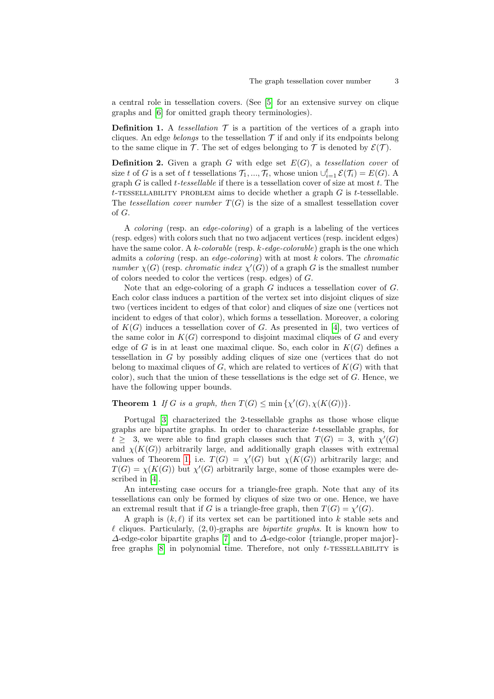a central role in tessellation covers. (See [\[5\]](#page-11-4) for an extensive survey on clique graphs and [\[6\]](#page-11-5) for omitted graph theory terminologies).

**Definition 1.** A tessellation  $\mathcal T$  is a partition of the vertices of a graph into cliques. An edge belongs to the tessellation  $\mathcal T$  if and only if its endpoints belong to the same clique in  $\mathcal T$ . The set of edges belonging to  $\mathcal T$  is denoted by  $\mathcal E(\mathcal T)$ .

**Definition 2.** Given a graph G with edge set  $E(G)$ , a tessellation cover of size t of G is a set of t tessellations  $\mathcal{T}_1, ..., \mathcal{T}_t$ , whose union  $\cup_{i=1}^t \mathcal{E}(\mathcal{T}_i) = E(G)$ . A graph G is called t-tessellable if there is a tessellation cover of size at most t. The t-TESSELLABILITY PROBLEM aims to decide whether a graph  $G$  is t-tessellable. The tessellation cover number  $T(G)$  is the size of a smallest tessellation cover of G.

A coloring (resp. an edge-coloring) of a graph is a labeling of the vertices (resp. edges) with colors such that no two adjacent vertices (resp. incident edges) have the same color. A k-colorable (resp. k-edge-colorable) graph is the one which admits a *coloring* (resp. an *edge-coloring*) with at most  $k$  colors. The *chromatic* number  $\chi(G)$  (resp. *chromatic index*  $\chi'(G)$ ) of a graph G is the smallest number of colors needed to color the vertices (resp. edges) of G.

Note that an edge-coloring of a graph G induces a tessellation cover of G. Each color class induces a partition of the vertex set into disjoint cliques of size two (vertices incident to edges of that color) and cliques of size one (vertices not incident to edges of that color), which forms a tessellation. Moreover, a coloring of  $K(G)$  induces a tessellation cover of G. As presented in [\[4\]](#page-11-3), two vertices of the same color in  $K(G)$  correspond to disjoint maximal cliques of G and every edge of G is in at least one maximal clique. So, each color in  $K(G)$  defines a tessellation in G by possibly adding cliques of size one (vertices that do not belong to maximal cliques of  $G$ , which are related to vertices of  $K(G)$  with that color), such that the union of these tessellations is the edge set of  $G$ . Hence, we have the following upper bounds.

<span id="page-2-0"></span>**Theorem 1** If G is a graph, then  $T(G) \le \min \{ \chi'(G), \chi(K(G)) \}.$ 

Portugal [\[3\]](#page-11-2) characterized the 2-tessellable graphs as those whose clique graphs are bipartite graphs. In order to characterize t-tessellable graphs, for  $t \geq 3$ , we were able to find graph classes such that  $T(G) = 3$ , with  $\chi'(G)$ and  $\chi(K(G))$  arbitrarily large, and additionally graph classes with extremal values of Theorem [1,](#page-2-0) i.e.  $T(G) = \chi'(G)$  but  $\chi(K(G))$  arbitrarily large; and  $T(G) = \chi(K(G))$  but  $\chi'(G)$  arbitrarily large, some of those examples were described in [\[4\]](#page-11-3).

An interesting case occurs for a triangle-free graph. Note that any of its tessellations can only be formed by cliques of size two or one. Hence, we have an extremal result that if G is a triangle-free graph, then  $T(G) = \chi'(G)$ .

A graph is  $(k, \ell)$  if its vertex set can be partitioned into k stable sets and  $\ell$  cliques. Particularly,  $(2, 0)$ -graphs are *bipartite graphs*. It is known how to ∆-edge-color bipartite graphs [\[7\]](#page-12-0) and to ∆-edge-color {triangle, proper major} free graphs  $[8]$  in polynomial time. Therefore, not only  $t$ -TESSELLABILITY is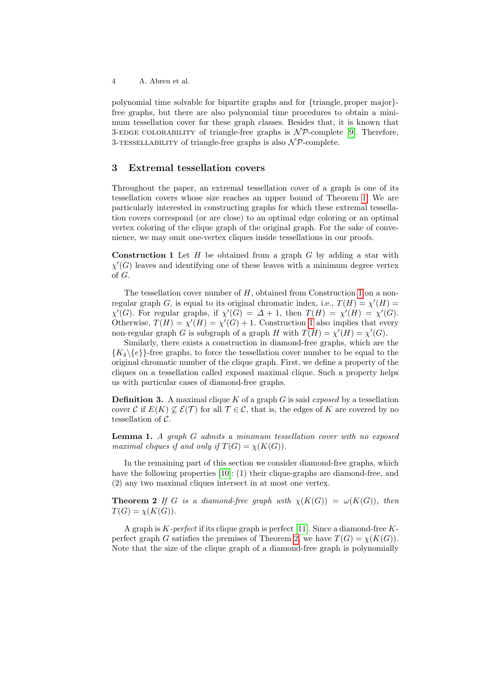polynomial time solvable for bipartite graphs and for {triangle, proper major} free graphs, but there are also polynomial time procedures to obtain a minimum tessellation cover for these graph classes. Besides that, it is known that 3-EDGE COLORABILITY of triangle-free graphs is  $N \mathcal{P}$ -complete [\[9\]](#page-12-2). Therefore, 3-TESSELLABILITY of triangle-free graphs is also  $N\mathcal{P}$ -complete.

## <span id="page-3-0"></span>3 Extremal tessellation covers

Throughout the paper, an extremal tessellation cover of a graph is one of its tessellation covers whose size reaches an upper bound of Theorem [1.](#page-2-0) We are particularly interested in constructing graphs for which these extremal tessellation covers correspond (or are close) to an optimal edge coloring or an optimal vertex coloring of the clique graph of the original graph. For the sake of convenience, we may omit one-vertex cliques inside tessellations in our proofs.

<span id="page-3-1"></span>**Construction 1** Let  $H$  be obtained from a graph  $G$  by adding a star with  $\chi'(G)$  leaves and identifying one of these leaves with a minimum degree vertex of G.

The tessellation cover number of  $H$ , obtained from Construction [1](#page-3-1) on a nonregular graph G, is equal to its original chromatic index, i.e.,  $T(H) = \chi'(H)$  $\chi'(G)$ . For regular graphs, if  $\chi'(G) = \Delta + 1$ , then  $T(H) = \chi'(H) = \chi'(G)$ . Otherwise,  $T(H) = \chi'(H) = \chi'(G) + 1$  $T(H) = \chi'(H) = \chi'(G) + 1$ . Construction 1 also implies that every non-regular graph G is subgraph of a graph H with  $T(H) = \chi'(H) = \chi'(G)$ .

Similarly, there exists a construction in diamond-free graphs, which are the  ${K_4 \setminus \{e\}}$ -free graphs, to force the tessellation cover number to be equal to the original chromatic number of the clique graph. First, we define a property of the cliques on a tessellation called exposed maximal clique. Such a property helps us with particular cases of diamond-free graphs.

**Definition 3.** A maximal clique K of a graph G is said exposed by a tessellation cover C if  $E(K) \nsubseteq \mathcal{E}(\mathcal{T})$  for all  $\mathcal{T} \in \mathcal{C}$ , that is, the edges of K are covered by no tessellation of C.

Lemma 1. A graph G admits a minimum tessellation cover with no exposed maximal cliques if and only if  $T(G) = \chi(K(G)).$ 

In the remaining part of this section we consider diamond-free graphs, which have the following properties [\[10\]](#page-12-3): (1) their clique-graphs are diamond-free, and (2) any two maximal cliques intersect in at most one vertex.

<span id="page-3-2"></span>**Theorem 2** If G is a diamond-free graph with  $\chi(K(G)) = \omega(K(G))$ , then  $T(G) = \chi(K(G)).$ 

A graph is  $K$ -perfect if its clique graph is perfect [\[11\]](#page-12-4). Since a diamond-free  $K$ -perfect graph G satisfies the premises of Theorem [2,](#page-3-2) we have  $T(G) = \chi(K(G))$ . Note that the size of the clique graph of a diamond-free graph is polynomially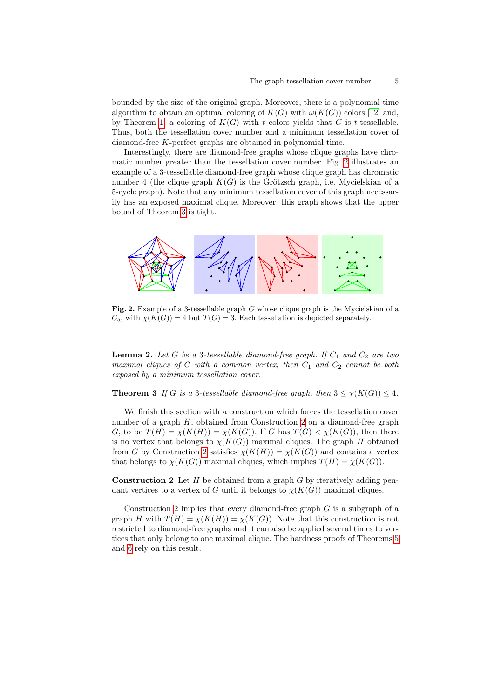bounded by the size of the original graph. Moreover, there is a polynomial-time algorithm to obtain an optimal coloring of  $K(G)$  with  $\omega(K(G))$  colors [\[12\]](#page-12-5) and, by Theorem [1,](#page-2-0) a coloring of  $K(G)$  with t colors yields that G is t-tessellable. Thus, both the tessellation cover number and a minimum tessellation cover of diamond-free K-perfect graphs are obtained in polynomial time.

Interestingly, there are diamond-free graphs whose clique graphs have chromatic number greater than the tessellation cover number. Fig. [2](#page-4-0) illustrates an example of a 3-tessellable diamond-free graph whose clique graph has chromatic number 4 (the clique graph  $K(G)$  is the Grötzsch graph, i.e. Mycielskian of a 5-cycle graph). Note that any minimum tessellation cover of this graph necessarily has an exposed maximal clique. Moreover, this graph shows that the upper bound of Theorem [3](#page-4-1) is tight.



<span id="page-4-0"></span>Fig. 2. Example of a 3-tessellable graph  $G$  whose clique graph is the Mycielskian of a  $C_5$ , with  $\chi(K(G)) = 4$  but  $T(G) = 3$ . Each tessellation is depicted separately.

**Lemma 2.** Let G be a 3-tessellable diamond-free graph. If  $C_1$  and  $C_2$  are two maximal cliques of G with a common vertex, then  $C_1$  and  $C_2$  cannot be both exposed by a minimum tessellation cover.

<span id="page-4-1"></span>**Theorem 3** If G is a 3-tessellable diamond-free graph, then  $3 \le \chi(K(G)) \le 4$ .

We finish this section with a construction which forces the tessellation cover number of a graph  $H$ , obtained from Construction [2](#page-4-2) on a diamond-free graph G, to be  $T(H) = \chi(K(H)) = \chi(K(G))$ . If G has  $T(G) < \chi(K(G))$ , then there is no vertex that belongs to  $\chi(K(G))$  maximal cliques. The graph H obtained from G by Construction [2](#page-4-2) satisfies  $\chi(K(H)) = \chi(K(G))$  and contains a vertex that belongs to  $\chi(K(G))$  maximal cliques, which implies  $T(H) = \chi(K(G)).$ 

<span id="page-4-2"></span>**Construction 2** Let  $H$  be obtained from a graph  $G$  by iteratively adding pendant vertices to a vertex of G until it belongs to  $\chi(K(G))$  maximal cliques.

Construction [2](#page-4-2) implies that every diamond-free graph  $G$  is a subgraph of a graph H with  $T(H) = \chi(K(H)) = \chi(K(G))$ . Note that this construction is not restricted to diamond-free graphs and it can also be applied several times to vertices that only belong to one maximal clique. The hardness proofs of Theorems [5](#page-6-0) and [6](#page-6-1) rely on this result.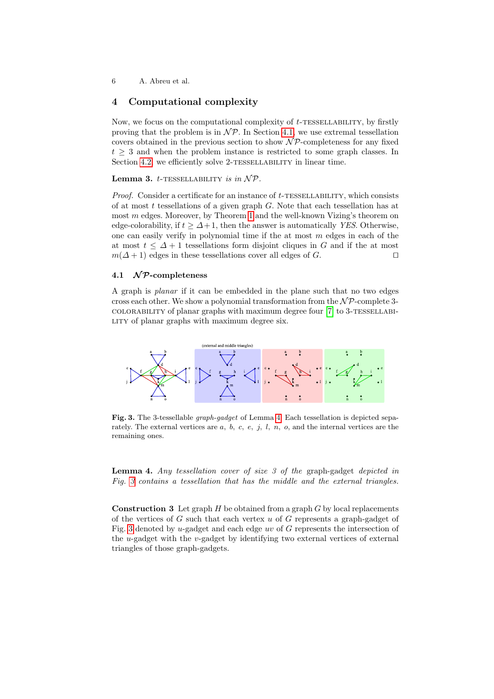# <span id="page-5-0"></span>4 Computational complexity

Now, we focus on the computational complexity of  $t$ -TESSELLABILITY, by firstly proving that the problem is in  $\mathcal{NP}$ . In Section [4.1,](#page-5-1) we use extremal tessellation covers obtained in the previous section to show  $\mathcal{NP}$ -completeness for any fixed  $t > 3$  and when the problem instance is restricted to some graph classes. In Section [4.2,](#page-9-0) we efficiently solve 2-TESSELLABILITY in linear time.

Lemma 3.  $t$ -TESSELLABILITY is in  $\mathcal{NP}$ .

*Proof.* Consider a certificate for an instance of  $t$ -TESSELLABILITY, which consists of at most  $t$  tessellations of a given graph  $G$ . Note that each tessellation has at most m edges. Moreover, by Theorem [1](#page-2-0) and the well-known Vizing's theorem on edge-colorability, if  $t > \Delta + 1$ , then the answer is automatically YES. Otherwise, one can easily verify in polynomial time if the at most  $m$  edges in each of the at most  $t \leq \Delta + 1$  tessellations form disjoint cliques in G and if the at most  $m(\Delta+1)$  edges in these tessellations cover all edges of G.

#### <span id="page-5-1"></span>4.1  $\mathcal{NP}$ -completeness

A graph is planar if it can be embedded in the plane such that no two edges cross each other. We show a polynomial transformation from the  $N\mathcal{P}$ -complete 3- $\text{COLORABILITY of planar graphs with maximum degree four } [7] \text{ to } 3\text{-}\text{TESSELABI-}$  $\text{COLORABILITY of planar graphs with maximum degree four } [7] \text{ to } 3\text{-}\text{TESSELABI-}$  $\text{COLORABILITY of planar graphs with maximum degree four } [7] \text{ to } 3\text{-}\text{TESSELABI-}$ lity of planar graphs with maximum degree six.



<span id="page-5-3"></span>Fig. 3. The 3-tessellable *graph-gadget* of Lemma [4.](#page-5-2) Each tessellation is depicted separately. The external vertices are a, b, c, e, j, l, n, o, and the internal vertices are the remaining ones.

<span id="page-5-2"></span>Lemma 4. Any tessellation cover of size 3 of the graph-gadget depicted in Fig. [3](#page-5-3) contains a tessellation that has the middle and the external triangles.

<span id="page-5-5"></span><span id="page-5-4"></span>**Construction 3** Let graph  $H$  be obtained from a graph  $G$  by local replacements of the vertices of  $G$  such that each vertex  $u$  of  $G$  represents a graph-gadget of Fig. [3](#page-5-3) denoted by u-gadget and each edge  $uv$  of  $G$  represents the intersection of the u-gadget with the v-gadget by identifying two external vertices of external triangles of those graph-gadgets.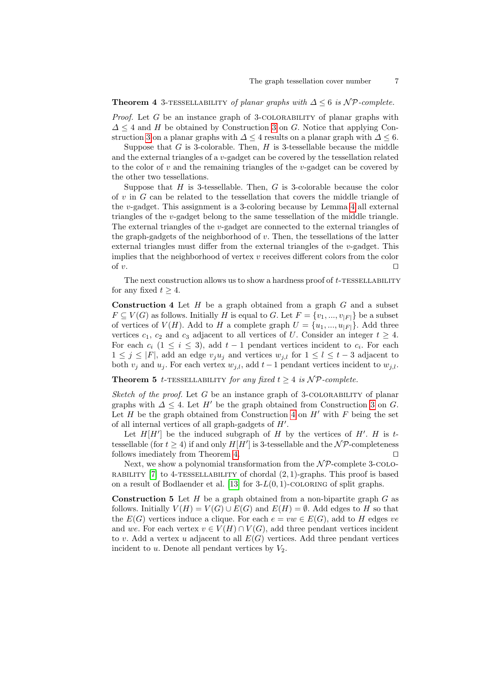Theorem 4 3-TESSELLABILITY of planar graphs with  $\Delta \leq 6$  is NP-complete.

*Proof.* Let  $G$  be an instance graph of 3-COLORABILITY of planar graphs with  $\Delta \leq 4$  and H be obtained by Construction [3](#page-5-4) on G. Notice that applying Con-struction [3](#page-5-4) on a planar graphs with  $\Delta \leq 4$  results on a planar graph with  $\Delta \leq 6$ .

Suppose that  $G$  is 3-colorable. Then,  $H$  is 3-tessellable because the middle and the external triangles of a v-gadget can be covered by the tessellation related to the color of  $v$  and the remaining triangles of the  $v$ -gadget can be covered by the other two tessellations.

Suppose that  $H$  is 3-tessellable. Then,  $G$  is 3-colorable because the color of v in  $G$  can be related to the tessellation that covers the middle triangle of the v-gadget. This assignment is a 3-coloring because by Lemma [4](#page-5-2) all external triangles of the v-gadget belong to the same tessellation of the middle triangle. The external triangles of the v-gadget are connected to the external triangles of the graph-gadgets of the neighborhood of  $v$ . Then, the tessellations of the latter external triangles must differ from the external triangles of the v-gadget. This implies that the neighborhood of vertex  $v$  receives different colors from the color of  $v$ .

The next construction allows us to show a hardness proof of  $t$ -TESSELLABILITY for any fixed  $t \geq 4$ .

<span id="page-6-2"></span>**Construction 4** Let  $H$  be a graph obtained from a graph  $G$  and a subset  $F \subseteq V(G)$  as follows. Initially H is equal to G. Let  $F = \{v_1, ..., v_{|F|}\}$  be a subset of vertices of  $V(H)$ . Add to H a complete graph  $U = \{u_1, ..., u_{|F|}\}\.$  Add three vertices  $c_1$ ,  $c_2$  and  $c_3$  adjacent to all vertices of U. Consider an integer  $t \geq 4$ . For each  $c_i$  (1  $\leq i \leq 3$ ), add  $t-1$  pendant vertices incident to  $c_i$ . For each  $1 \leq j \leq |F|$ , add an edge  $v_ju_j$  and vertices  $w_{j,l}$  for  $1 \leq l \leq t-3$  adjacent to both  $v_i$  and  $u_j$ . For each vertex  $w_{i,l}$ , add  $t-1$  pendant vertices incident to  $w_{i,l}$ .

<span id="page-6-0"></span>**Theorem 5** t-TESSELLABILITY for any fixed  $t > 4$  is  $\mathcal{NP}$ -complete.

Sketch of the proof. Let  $G$  be an instance graph of 3-COLORABILITY of planar graphs with  $\Delta$  < 4. Let H' be the graph obtained from Construction [3](#page-5-4) on G. Let H be the graph obtained from Construction [4](#page-6-2) on  $H'$  with F being the set of all internal vertices of all graph-gadgets of  $H'$ .

Let  $H[H']$  be the induced subgraph of H by the vertices of H'. H is ttessellable (for  $t \geq 4$ ) if and only  $H[H']$  is 3-tessellable and the  $N\mathcal{P}$ -completeness follows imediately from Theorem [4.](#page-5-5)  $\Box$ 

Next, we show a polynomial transformation from the  $\mathcal{NP}$ -complete 3-COLO-RABILITY  $[7]$  to 4-TESSELLABILITY of chordal  $(2, 1)$ -graphs. This proof is based on a result of Bodlaender et al. [\[13\]](#page-12-6) for  $3-L(0,1)$ -COLORING of split graphs.

<span id="page-6-3"></span><span id="page-6-1"></span>**Construction 5** Let  $H$  be a graph obtained from a non-bipartite graph  $G$  as follows. Initially  $V(H) = V(G) \cup E(G)$  and  $E(H) = \emptyset$ . Add edges to H so that the  $E(G)$  vertices induce a clique. For each  $e = vw \in E(G)$ , add to H edges ve and we. For each vertex  $v \in V(H) \cap V(G)$ , add three pendant vertices incident to v. Add a vertex u adjacent to all  $E(G)$  vertices. Add three pendant vertices incident to  $u$ . Denote all pendant vertices by  $V_2$ .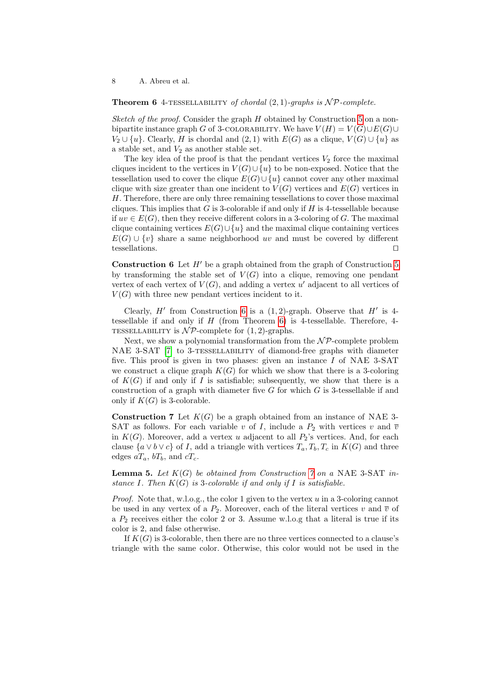**Theorem 6** 4-TESSELLABILITY of chordal  $(2, 1)$ -graphs is  $N \mathcal{P}$ -complete.

Sketch of the proof. Consider the graph  $H$  obtained by Construction [5](#page-6-3) on a nonbipartite instance graph G of 3-COLORABILITY. We have  $V(H) = V(G) \cup E(G) \cup$  $V_2 \cup \{u\}$ . Clearly, H is chordal and  $(2,1)$  with  $E(G)$  as a clique,  $V(G) \cup \{u\}$  as a stable set, and  $V_2$  as another stable set.

The key idea of the proof is that the pendant vertices  $V_2$  force the maximal cliques incident to the vertices in  $V(G) \cup \{u\}$  to be non-exposed. Notice that the tessellation used to cover the clique  $E(G) \cup \{u\}$  cannot cover any other maximal clique with size greater than one incident to  $V(G)$  vertices and  $E(G)$  vertices in H. Therefore, there are only three remaining tessellations to cover those maximal cliques. This implies that G is 3-colorable if and only if  $H$  is 4-tessellable because if  $uv \in E(G)$ , then they receive different colors in a 3-coloring of G. The maximal clique containing vertices  $E(G) \cup \{u\}$  and the maximal clique containing vertices  $E(G) \cup \{v\}$  share a same neighborhood uv and must be covered by different tessellations.  $\hfill\Box$ 

<span id="page-7-0"></span>**Construction 6** Let  $H'$  be a graph obtained from the graph of Construction [5](#page-6-3) by transforming the stable set of  $V(G)$  into a clique, removing one pendant vertex of each vertex of  $V(G)$ , and adding a vertex u' adjacent to all vertices of  $V(G)$  with three new pendant vertices incident to it.

Clearly,  $H'$  from Construction [6](#page-7-0) is a  $(1, 2)$ -graph. Observe that  $H'$  is 4tessellable if and only if  $H$  (from Theorem [6\)](#page-6-1) is 4-tessellable. Therefore, 4-TESSELLABILITY is  $N\mathcal{P}$ -complete for  $(1, 2)$ -graphs.

Next, we show a polynomial transformation from the  $N\mathcal{P}$ -complete problem NAE 3-SAT [\[7\]](#page-12-0) to 3-tessellability of diamond-free graphs with diameter five. This proof is given in two phases: given an instance  $I$  of NAE 3-SAT we construct a clique graph  $K(G)$  for which we show that there is a 3-coloring of  $K(G)$  if and only if I is satisfiable; subsequently, we show that there is a construction of a graph with diameter five  $G$  for which  $G$  is 3-tessellable if and only if  $K(G)$  is 3-colorable.

<span id="page-7-1"></span>**Construction 7** Let  $K(G)$  be a graph obtained from an instance of NAE 3-SAT as follows. For each variable v of I, include a  $P_2$  with vertices v and  $\overline{v}$ in  $K(G)$ . Moreover, add a vertex u adjacent to all  $P_2$ 's vertices. And, for each clause  $\{a \vee b \vee c\}$  of I, add a triangle with vertices  $T_a, T_b, T_c$  in  $K(G)$  and three edges  $aT_a$ ,  $bT_b$ , and  $cT_c$ .

<span id="page-7-2"></span>**Lemma 5.** Let  $K(G)$  be obtained from Construction [7](#page-7-1) on a NAE 3-SAT instance I. Then  $K(G)$  is 3-colorable if and only if I is satisfiable.

*Proof.* Note that, w.l.o.g., the color 1 given to the vertex  $u$  in a 3-coloring cannot be used in any vertex of a  $P_2$ . Moreover, each of the literal vertices v and  $\overline{v}$  of a  $P_2$  receives either the color 2 or 3. Assume w.l.o.g that a literal is true if its color is 2, and false otherwise.

If  $K(G)$  is 3-colorable, then there are no three vertices connected to a clause's triangle with the same color. Otherwise, this color would not be used in the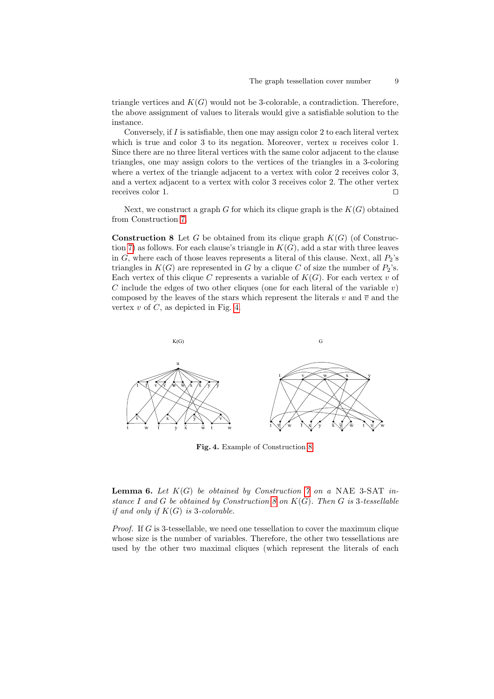triangle vertices and  $K(G)$  would not be 3-colorable, a contradiction. Therefore, the above assignment of values to literals would give a satisfiable solution to the instance.

Conversely, if  $I$  is satisfiable, then one may assign color 2 to each literal vertex which is true and color 3 to its negation. Moreover, vertex  $u$  receives color 1. Since there are no three literal vertices with the same color adjacent to the clause triangles, one may assign colors to the vertices of the triangles in a 3-coloring where a vertex of the triangle adjacent to a vertex with color 2 receives color 3, and a vertex adjacent to a vertex with color 3 receives color 2. The other vertex receives color 1.  $\Box$ 

Next, we construct a graph G for which its clique graph is the  $K(G)$  obtained from Construction [7.](#page-7-1)

<span id="page-8-1"></span>**Construction 8** Let G be obtained from its clique graph  $K(G)$  (of Construc-tion [7\)](#page-7-1) as follows. For each clause's triangle in  $K(G)$ , add a star with three leaves in G, where each of those leaves represents a literal of this clause. Next, all  $P_2$ 's triangles in  $K(G)$  are represented in G by a clique C of size the number of  $P_2$ 's. Each vertex of this clique C represents a variable of  $K(G)$ . For each vertex v of C include the edges of two other cliques (one for each literal of the variable  $v$ ) composed by the leaves of the stars which represent the literals v and  $\overline{v}$  and the vertex  $v$  of  $C$ , as depicted in Fig. [4.](#page-8-0)



<span id="page-8-0"></span>Fig. 4. Example of Construction [8.](#page-8-1)

<span id="page-8-2"></span>**Lemma 6.** Let  $K(G)$  be obtained by Construction [7](#page-7-1) on a NAE 3-SAT in-stance I and G be obtained by Construction [8](#page-8-1) on  $K(G)$ . Then G is 3-tessellable if and only if  $K(G)$  is 3-colorable.

Proof. If G is 3-tessellable, we need one tessellation to cover the maximum clique whose size is the number of variables. Therefore, the other two tessellations are used by the other two maximal cliques (which represent the literals of each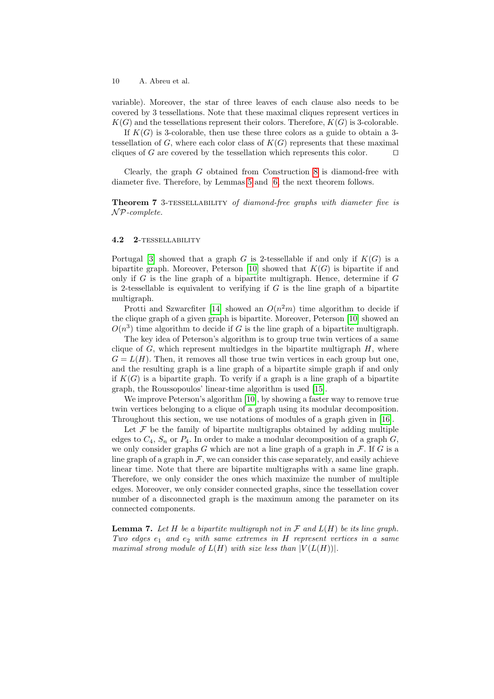variable). Moreover, the star of three leaves of each clause also needs to be covered by 3 tessellations. Note that these maximal cliques represent vertices in  $K(G)$  and the tessellations represent their colors. Therefore,  $K(G)$  is 3-colorable.

If  $K(G)$  is 3-colorable, then use these three colors as a guide to obtain a 3tessellation of  $G$ , where each color class of  $K(G)$  represents that these maximal cliques of G are covered by the tessellation which represents this color.  $\Box$ 

Clearly, the graph  $G$  obtained from Construction [8](#page-8-1) is diamond-free with diameter five. Therefore, by Lemmas [5](#page-7-2) and [6,](#page-8-2) the next theorem follows.

Theorem 7 3-TESSELLABILITY of diamond-free graphs with diameter five is  $\mathcal{NP}$ -complete.

## <span id="page-9-0"></span>4.2 2-tessellability

Portugal [\[3\]](#page-11-2) showed that a graph G is 2-tessellable if and only if  $K(G)$  is a bipartite graph. Moreover, Peterson [\[10\]](#page-12-3) showed that  $K(G)$  is bipartite if and only if  $G$  is the line graph of a bipartite multigraph. Hence, determine if  $G$ is 2-tessellable is equivalent to verifying if  $G$  is the line graph of a bipartite multigraph.

Protti and Szwarcfiter [\[14\]](#page-12-7) showed an  $O(n^2m)$  time algorithm to decide if the clique graph of a given graph is bipartite. Moreover, Peterson [\[10\]](#page-12-3) showed an  $O(n^3)$  time algorithm to decide if G is the line graph of a bipartite multigraph.

The key idea of Peterson's algorithm is to group true twin vertices of a same clique of  $G$ , which represent multiedges in the bipartite multigraph  $H$ , where  $G = L(H)$ . Then, it removes all those true twin vertices in each group but one, and the resulting graph is a line graph of a bipartite simple graph if and only if  $K(G)$  is a bipartite graph. To verify if a graph is a line graph of a bipartite graph, the Roussopoulos' linear-time algorithm is used [\[15\]](#page-12-8).

We improve Peterson's algorithm [\[10\]](#page-12-3), by showing a faster way to remove true twin vertices belonging to a clique of a graph using its modular decomposition. Throughout this section, we use notations of modules of a graph given in [\[16\]](#page-12-9).

Let  $F$  be the family of bipartite multigraphs obtained by adding multiple edges to  $C_4$ ,  $S_n$  or  $P_4$ . In order to make a modular decomposition of a graph  $G$ , we only consider graphs G which are not a line graph of a graph in  $\mathcal F$ . If G is a line graph of a graph in  $\mathcal F$ , we can consider this case separately, and easily achieve linear time. Note that there are bipartite multigraphs with a same line graph. Therefore, we only consider the ones which maximize the number of multiple edges. Moreover, we only consider connected graphs, since the tessellation cover number of a disconnected graph is the maximum among the parameter on its connected components.

<span id="page-9-2"></span><span id="page-9-1"></span>**Lemma 7.** Let H be a bipartite multigraph not in F and  $L(H)$  be its line graph. Two edges  $e_1$  and  $e_2$  with same extremes in H represent vertices in a same maximal strong module of  $L(H)$  with size less than  $|V(L(H))|$ .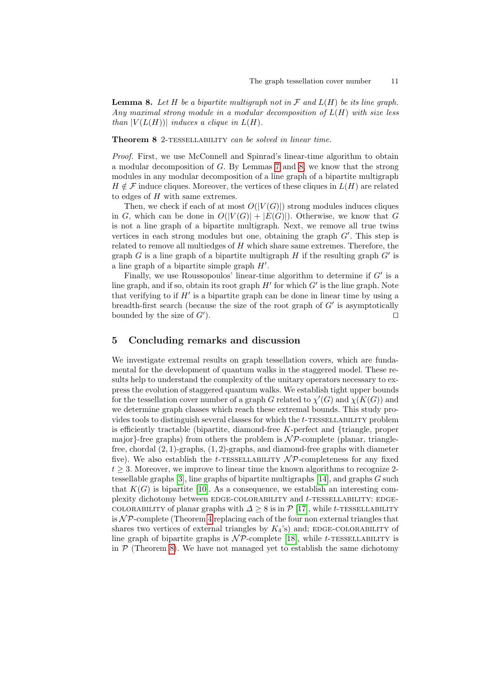**Lemma 8.** Let H be a bipartite multigraph not in F and  $L(H)$  be its line graph. Any maximal strong module in a modular decomposition of  $L(H)$  with size less than  $|V(L(H))|$  induces a clique in  $L(H)$ .

<span id="page-10-0"></span>Theorem 8 2-TESSELLABILITY can be solved in linear time.

Proof. First, we use McConnell and Spinrad's linear-time algorithm to obtain a modular decomposition of G. By Lemmas [7](#page-9-1) and [8,](#page-9-2) we know that the strong modules in any modular decomposition of a line graph of a bipartite multigraph  $H \notin \mathcal{F}$  induce cliques. Moreover, the vertices of these cliques in  $L(H)$  are related to edges of  $H$  with same extremes.

Then, we check if each of at most  $O(|V(G)|)$  strong modules induces cliques in G, which can be done in  $O(|V(G)| + |E(G)|)$ . Otherwise, we know that G is not a line graph of a bipartite multigraph. Next, we remove all true twins vertices in each strong modules but one, obtaining the graph  $G'$ . This step is related to remove all multiedges of  $H$  which share same extremes. Therefore, the graph G is a line graph of a bipartite multigraph  $H$  if the resulting graph  $G'$  is a line graph of a bipartite simple graph  $H'$ .

Finally, we use Roussopoulos' linear-time algorithm to determine if  $G'$  is a line graph, and if so, obtain its root graph  $H'$  for which  $G'$  is the line graph. Note that verifying to if  $H'$  is a bipartite graph can be done in linear time by using a breadth-first search (because the size of the root graph of  $G'$  is asymptotically bounded by the size of  $G'$ ). ).  $\Box$ 

## 5 Concluding remarks and discussion

We investigate extremal results on graph tessellation covers, which are fundamental for the development of quantum walks in the staggered model. These results help to understand the complexity of the unitary operators necessary to express the evolution of staggered quantum walks. We establish tight upper bounds for the tessellation cover number of a graph G related to  $\chi'(G)$  and  $\chi(K(G))$  and we determine graph classes which reach these extremal bounds. This study provides tools to distinguish several classes for which the t-TESSELLABILITY problem is efficiently tractable (bipartite, diamond-free K-perfect and {triangle, proper major}-free graphs) from others the problem is  $N\mathcal{P}$ -complete (planar, trianglefree, chordal (2, 1)-graphs, (1, 2)-graphs, and diamond-free graphs with diameter five). We also establish the t-TESSELLABILITY  $N\mathcal{P}$ -completeness for any fixed  $t \geq 3$ . Moreover, we improve to linear time the known algorithms to recognize 2tessellable graphs  $[3]$ , line graphs of bipartite multigraphs  $[14]$ , and graphs G such that  $K(G)$  is bipartite [\[10\]](#page-12-3). As a consequence, we establish an interesting complexity dichotomy between edge-colorability and t-tessellability: edge-COLORABILITY of planar graphs with  $\Delta \geq 8$  is in  $\mathcal{P}$  [\[17\]](#page-12-10), while t-TESSELLABILITY is  $N\mathcal{P}$ -complete (Theorem [4](#page-5-5) replacing each of the four non external triangles that shares two vertices of external triangles by  $K_4$ 's) and; EDGE-COLORABILITY of line graph of bipartite graphs is  $\mathcal{NP}$ -complete [\[18\]](#page-12-11), while t-TESSELLABILITY is in  $P$  (Theorem [8\)](#page-10-0). We have not managed yet to establish the same dichotomy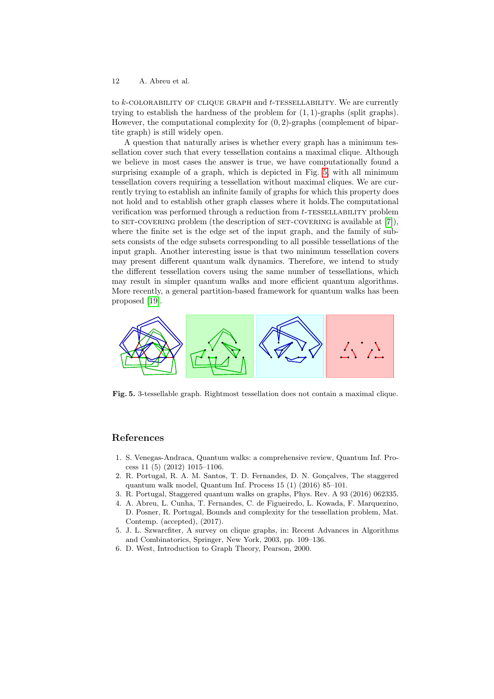to  $k$ -COLORABILITY OF CLIQUE GRAPH and  $t$ -TESSELLABILITY. We are currently trying to establish the hardness of the problem for  $(1, 1)$ -graphs (split graphs). However, the computational complexity for (0, 2)-graphs (complement of bipartite graph) is still widely open.

A question that naturally arises is whether every graph has a minimum tessellation cover such that every tessellation contains a maximal clique. Although we believe in most cases the answer is true, we have computationally found a surprising example of a graph, which is depicted in Fig. [5,](#page-11-6) with all minimum tessellation covers requiring a tessellation without maximal cliques. We are currently trying to establish an infinite family of graphs for which this property does not hold and to establish other graph classes where it holds.The computational verification was performed through a reduction from t-TESSELLABILITY problem to  $SET-COVERING problem$  (the description of  $SET-COVERING$  is available at  $[7]$ ), where the finite set is the edge set of the input graph, and the family of subsets consists of the edge subsets corresponding to all possible tessellations of the input graph. Another interesting issue is that two minimum tessellation covers may present different quantum walk dynamics. Therefore, we intend to study the different tessellation covers using the same number of tessellations, which may result in simpler quantum walks and more efficient quantum algorithms. More recently, a general partition-based framework for quantum walks has been proposed [\[19\]](#page-12-12).



Fig. 5. 3-tessellable graph. Rightmost tessellation does not contain a maximal clique.

## <span id="page-11-6"></span>References

- <span id="page-11-0"></span>1. S. Venegas-Andraca, Quantum walks: a comprehensive review, Quantum Inf. Process 11 (5) (2012) 1015–1106.
- <span id="page-11-1"></span>2. R. Portugal, R. A. M. Santos, T. D. Fernandes, D. N. Gonçalves, The staggered quantum walk model, Quantum Inf. Process 15 (1) (2016) 85–101.
- <span id="page-11-2"></span>3. R. Portugal, Staggered quantum walks on graphs, Phys. Rev. A 93 (2016) 062335.
- <span id="page-11-3"></span>4. A. Abreu, L. Cunha, T. Fernandes, C. de Figueiredo, L. Kowada, F. Marquezino, D. Posner, R. Portugal, Bounds and complexity for the tessellation problem, Mat. Contemp. (accepted), (2017).
- <span id="page-11-4"></span>5. J. L. Szwarcfiter, A survey on clique graphs, in: Recent Advances in Algorithms and Combinatorics, Springer, New York, 2003, pp. 109–136.
- <span id="page-11-5"></span>6. D. West, Introduction to Graph Theory, Pearson, 2000.